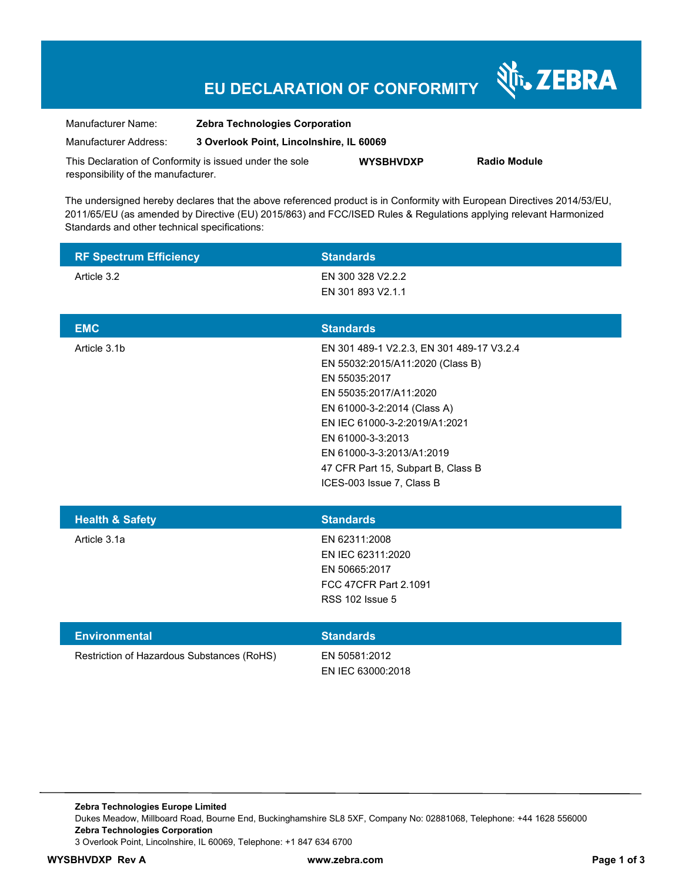# **EU DECLARATION OF CONFORMITY**

Nr. ZEBRA

| Manufacturer Name:                                      | <b>Zebra Technologies Corporation</b>    |                  |                     |
|---------------------------------------------------------|------------------------------------------|------------------|---------------------|
| Manufacturer Address:                                   | 3 Overlook Point, Lincolnshire, IL 60069 |                  |                     |
| This Declaration of Conformity is issued under the sole |                                          | <b>WYSBHVDXP</b> | <b>Radio Module</b> |
| responsibility of the manufacturer.                     |                                          |                  |                     |

The undersigned hereby declares that the above referenced product is in Conformity with European Directives 2014/53/EU, 2011/65/EU (as amended by Directive (EU) 2015/863) and FCC/ISED Rules & Regulations applying relevant Harmonized Standards and other technical specifications:

| <b>RF Spectrum Efficiency</b>              | <b>Standards</b>                                                                                                                                                                                                                                                                                              |
|--------------------------------------------|---------------------------------------------------------------------------------------------------------------------------------------------------------------------------------------------------------------------------------------------------------------------------------------------------------------|
| Article 3.2                                | EN 300 328 V2.2.2<br>EN 301 893 V2.1.1                                                                                                                                                                                                                                                                        |
| <b>EMC</b>                                 | <b>Standards</b>                                                                                                                                                                                                                                                                                              |
| Article 3.1b                               | EN 301 489-1 V2.2.3, EN 301 489-17 V3.2.4<br>EN 55032:2015/A11:2020 (Class B)<br>EN 55035:2017<br>EN 55035:2017/A11:2020<br>EN 61000-3-2:2014 (Class A)<br>EN IEC 61000-3-2:2019/A1:2021<br>EN 61000-3-3:2013<br>EN 61000-3-3:2013/A1:2019<br>47 CFR Part 15, Subpart B, Class B<br>ICES-003 Issue 7, Class B |
| <b>Health &amp; Safety</b>                 | <b>Standards</b>                                                                                                                                                                                                                                                                                              |
| Article 3.1a                               | EN 62311:2008<br>EN IEC 62311:2020<br>EN 50665:2017<br>FCC 47CFR Part 2.1091<br><b>RSS 102 Issue 5</b>                                                                                                                                                                                                        |
| <b>Environmental</b>                       | <b>Standards</b>                                                                                                                                                                                                                                                                                              |
| Restriction of Hazardous Substances (RoHS) | EN 50581:2012<br>EN IEC 63000:2018                                                                                                                                                                                                                                                                            |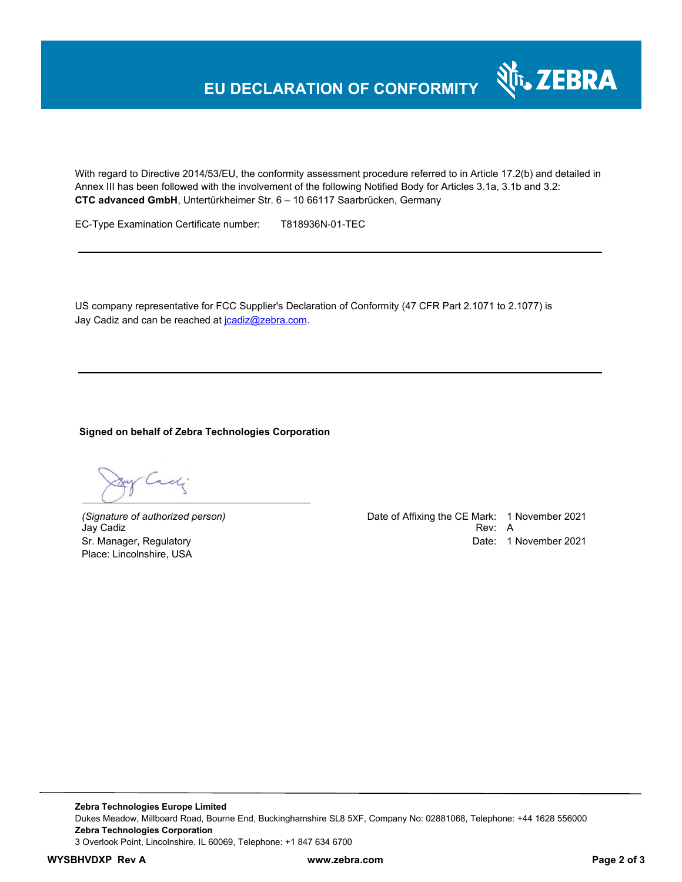

With regard to Directive 2014/53/EU, the conformity assessment procedure referred to in Article 17.2(b) and detailed in Annex III has been followed with the involvement of the following Notified Body for Articles 3.1a, 3.1b and 3.2: **CTC advanced GmbH**, Untertürkheimer Str. 6 – 10 66117 Saarbrücken, Germany

EC-Type Examination Certificate number: T818936N-01-TEC

US company representative for FCC Supplier's Declaration of Conformity (47 CFR Part 2.1071 to 2.1077) is Jay Cadiz and can be reached at joadiz@zebra.com.

### **Signed on behalf of Zebra Technologies Corporation**

Call

Place: Lincolnshire, USA

*(Signature of authorized person)* Date of Affixing the CE Mark: 1 November 2021 Jay Cadiz Rev: A Sr. Manager, Regulatory **Date: 1 November 2021**